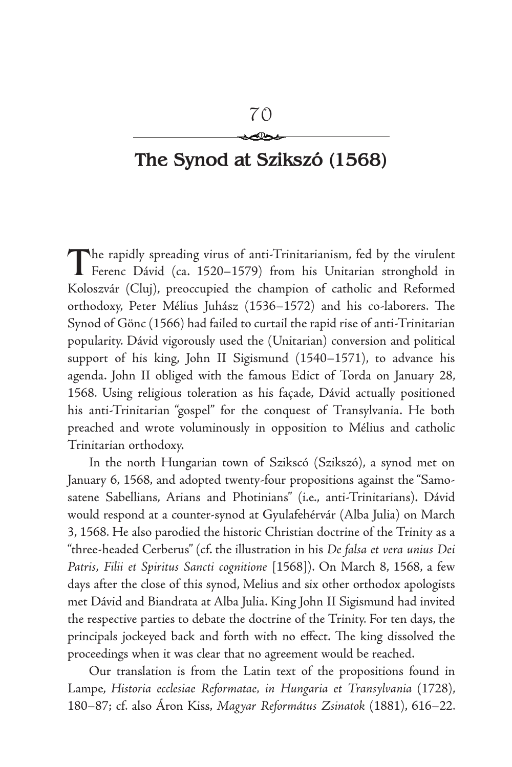## 70 عڪ

# **The Synod at Szikszó (1568)**

The rapidly spreading virus of anti-Trinitarianism, fed by the virulent<br>Ferenc Dávid (ca. 1520–1579) from his Unitarian stronghold in Koloszvár (Cluj), preoccupied the champion of catholic and Reformed orthodoxy, Peter Mélius Juhász (1536–1572) and his co-laborers. The Synod of Gönc (1566) had failed to curtail the rapid rise of anti-Trinitarian popularity. Dávid vigorously used the (Unitarian) conversion and political support of his king, John II Sigismund (1540–1571), to advance his agenda. John II obliged with the famous Edict of Torda on January 28, 1568. Using religious toleration as his façade, Dávid actually positioned his anti-Trinitarian "gospel" for the conquest of Transylvania. He both preached and wrote voluminously in opposition to Mélius and catholic Trinitarian orthodoxy.

In the north Hungarian town of Szikscó (Szikszó), a synod met on January 6, 1568, and adopted twenty-four propositions against the "Samosatene Sabellians, Arians and Photinians" (i.e., anti-Trinitarians). Dávid would respond at a counter-synod at Gyulafehérvár (Alba Julia) on March 3, 1568. He also parodied the historic Christian doctrine of the Trinity as a "three-headed Cerberus" (cf. the illustration in his *De falsa et vera unius Dei Patris, Filii et Spiritus Sancti cognitione* [1568]). On March 8, 1568, a few days after the close of this synod, Melius and six other orthodox apologists met Dávid and Biandrata at Alba Julia. King John II Sigismund had invited the respective parties to debate the doctrine of the Trinity. For ten days, the principals jockeyed back and forth with no effect. The king dissolved the proceedings when it was clear that no agreement would be reached.

Our translation is from the Latin text of the propositions found in Lampe, *Historia ecclesiae Reformatae, in Hungaria et Transylvania* (1728), 180–87; cf. also Áron Kiss, *Magyar Református Zsinatok* (1881), 616–22.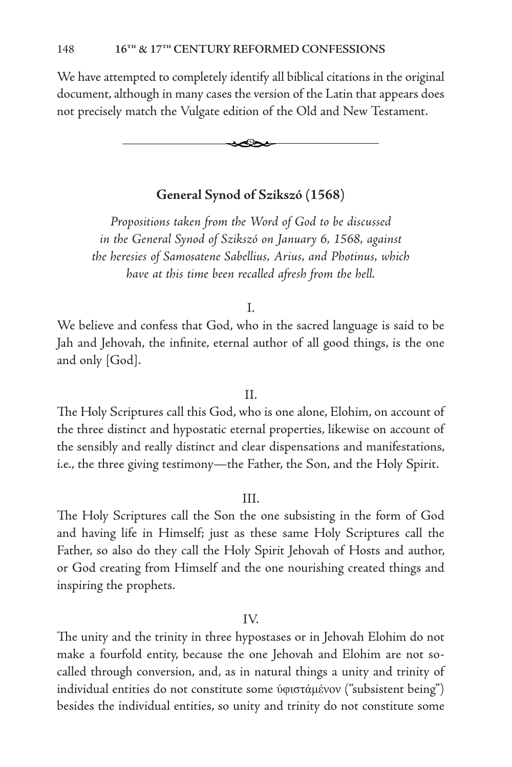We have attempted to completely identify all biblical citations in the original document, although in many cases the version of the Latin that appears does not precisely match the Vulgate edition of the Old and New Testament.



## **General Synod of Szikszó (1568)**

*Propositions taken from the Word of God to be discussed in the General Synod of Szikszó on January 6, 1568, against the heresies of Samosatene Sabellius, Arius, and Photinus, which have at this time been recalled afresh from the hell.*

#### I.

We believe and confess that God, who in the sacred language is said to be Jah and Jehovah, the infinite, eternal author of all good things, is the one and only [God].

#### II.

The Holy Scriptures call this God, who is one alone, Elohim, on account of the three distinct and hypostatic eternal properties, likewise on account of the sensibly and really distinct and clear dispensations and manifestations, i.e., the three giving testimony—the Father, the Son, and the Holy Spirit.

## III.

The Holy Scriptures call the Son the one subsisting in the form of God and having life in Himself; just as these same Holy Scriptures call the Father, so also do they call the Holy Spirit Jehovah of Hosts and author, or God creating from Himself and the one nourishing created things and inspiring the prophets.

#### IV.

The unity and the trinity in three hypostases or in Jehovah Elohim do not make a fourfold entity, because the one Jehovah and Elohim are not socalled through conversion, and, as in natural things a unity and trinity of individual entities do not constitute some ύφιστάμένον ("subsistent being") besides the individual entities, so unity and trinity do not constitute some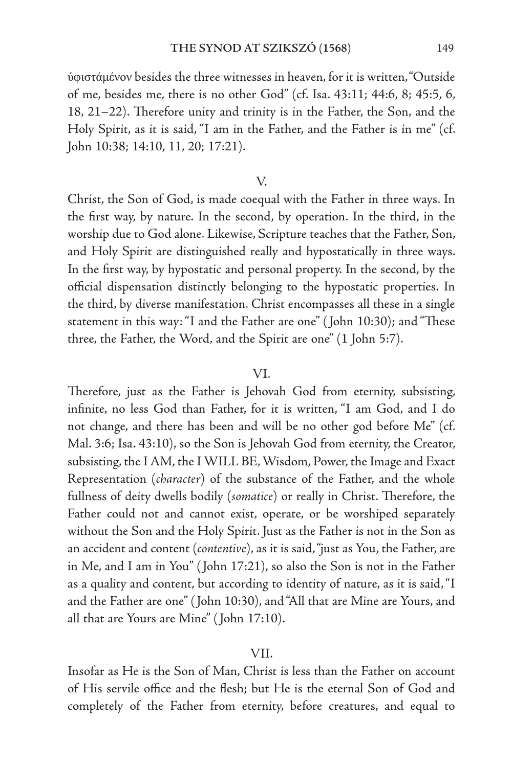ύφιστάμένον besides the three witnesses in heaven, for it is written, "Outside of me, besides me, there is no other God" (cf. Isa. 43:11; 44:6, 8; 45:5, 6, 18, 21–22). Therefore unity and trinity is in the Father, the Son, and the Holy Spirit, as it is said, "I am in the Father, and the Father is in me" (cf. John 10:38; 14:10, 11, 20; 17:21).

## V.

Christ, the Son of God, is made coequal with the Father in three ways. In the first way, by nature. In the second, by operation. In the third, in the worship due to God alone. Likewise, Scripture teaches that the Father, Son, and Holy Spirit are distinguished really and hypostatically in three ways. In the first way, by hypostatic and personal property. In the second, by the official dispensation distinctly belonging to the hypostatic properties. In the third, by diverse manifestation. Christ encompasses all these in a single statement in this way: "I and the Father are one" ( John 10:30); and "These three, the Father, the Word, and the Spirit are one" (1 John 5:7).

#### VI.

Therefore, just as the Father is Jehovah God from eternity, subsisting, infinite, no less God than Father, for it is written, "I am God, and I do not change, and there has been and will be no other god before Me" (cf. Mal. 3:6; Isa. 43:10), so the Son is Jehovah God from eternity, the Creator, subsisting, the I AM, the I WILL BE, Wisdom, Power, the Image and Exact Representation (*character*) of the substance of the Father, and the whole fullness of deity dwells bodily (*somatice*) or really in Christ. Therefore, the Father could not and cannot exist, operate, or be worshiped separately without the Son and the Holy Spirit. Just as the Father is not in the Son as an accident and content (*contentive*), as it is said, "just as You, the Father, are in Me, and I am in You" ( John 17:21), so also the Son is not in the Father as a quality and content, but according to identity of nature, as it is said, "I and the Father are one" ( John 10:30), and "All that are Mine are Yours, and all that are Yours are Mine" ( John 17:10).

## VII.

Insofar as He is the Son of Man, Christ is less than the Father on account of His servile office and the flesh; but He is the eternal Son of God and completely of the Father from eternity, before creatures, and equal to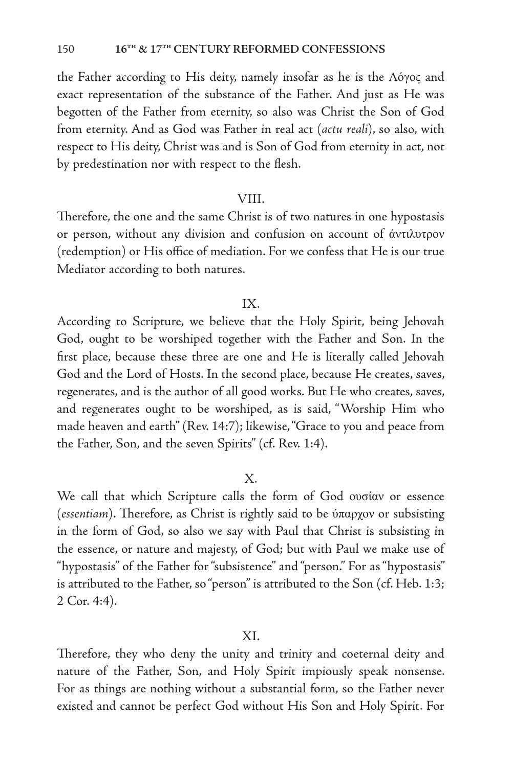the Father according to His deity, namely insofar as he is the Λόγος and exact representation of the substance of the Father. And just as He was begotten of the Father from eternity, so also was Christ the Son of God from eternity. And as God was Father in real act (*actu reali*), so also, with respect to His deity, Christ was and is Son of God from eternity in act, not by predestination nor with respect to the flesh.

## VIII.

Therefore, the one and the same Christ is of two natures in one hypostasis or person, without any division and confusion on account of άντιλυτρον (redemption) or His office of mediation. For we confess that He is our true Mediator according to both natures.

## IX.

According to Scripture, we believe that the Holy Spirit, being Jehovah God, ought to be worshiped together with the Father and Son. In the first place, because these three are one and He is literally called Jehovah God and the Lord of Hosts. In the second place, because He creates, saves, regenerates, and is the author of all good works. But He who creates, saves, and regenerates ought to be worshiped, as is said, "Worship Him who made heaven and earth" (Rev. 14:7); likewise, "Grace to you and peace from the Father, Son, and the seven Spirits" (cf. Rev. 1:4).

## X.

We call that which Scripture calls the form of God ουσίαν or essence (*essentiam*). Therefore, as Christ is rightly said to be ύπαρχον or subsisting in the form of God, so also we say with Paul that Christ is subsisting in the essence, or nature and majesty, of God; but with Paul we make use of "hypostasis" of the Father for "subsistence" and "person." For as "hypostasis" is attributed to the Father, so "person" is attributed to the Son (cf. Heb. 1:3; 2 Cor. 4:4).

#### XI.

Therefore, they who deny the unity and trinity and coeternal deity and nature of the Father, Son, and Holy Spirit impiously speak nonsense. For as things are nothing without a substantial form, so the Father never existed and cannot be perfect God without His Son and Holy Spirit. For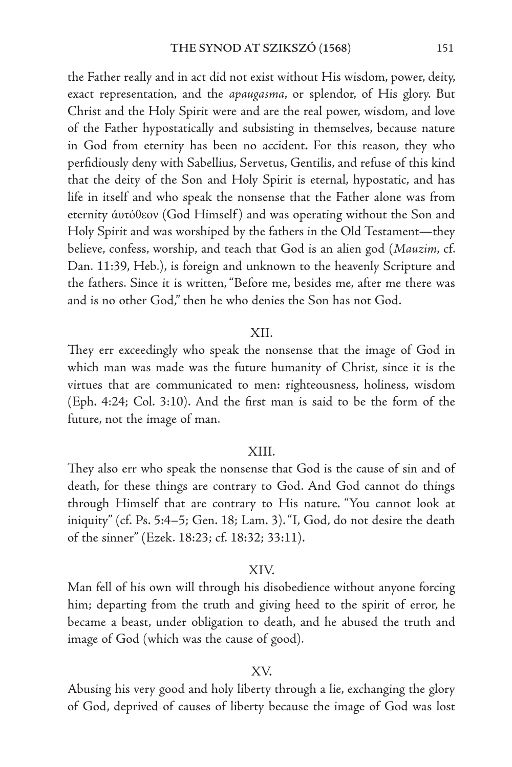the Father really and in act did not exist without His wisdom, power, deity, exact representation, and the *apaugasma*, or splendor, of His glory. But Christ and the Holy Spirit were and are the real power, wisdom, and love of the Father hypostatically and subsisting in themselves, because nature in God from eternity has been no accident. For this reason, they who perfidiously deny with Sabellius, Servetus, Gentilis, and refuse of this kind that the deity of the Son and Holy Spirit is eternal, hypostatic, and has life in itself and who speak the nonsense that the Father alone was from eternity άυτόθεον (God Himself) and was operating without the Son and Holy Spirit and was worshiped by the fathers in the Old Testament—they believe, confess, worship, and teach that God is an alien god (*Mauzim*, cf. Dan. 11:39, Heb.), is foreign and unknown to the heavenly Scripture and the fathers. Since it is written, "Before me, besides me, after me there was and is no other God," then he who denies the Son has not God.

#### XII.

They err exceedingly who speak the nonsense that the image of God in which man was made was the future humanity of Christ, since it is the virtues that are communicated to men: righteousness, holiness, wisdom (Eph. 4:24; Col. 3:10). And the first man is said to be the form of the future, not the image of man.

#### XIII.

They also err who speak the nonsense that God is the cause of sin and of death, for these things are contrary to God. And God cannot do things through Himself that are contrary to His nature. "You cannot look at iniquity" (cf. Ps. 5:4–5; Gen. 18; Lam. 3). "I, God, do not desire the death of the sinner" (Ezek. 18:23; cf. 18:32; 33:11).

#### XIV.

Man fell of his own will through his disobedience without anyone forcing him; departing from the truth and giving heed to the spirit of error, he became a beast, under obligation to death, and he abused the truth and image of God (which was the cause of good).

## XV.

Abusing his very good and holy liberty through a lie, exchanging the glory of God, deprived of causes of liberty because the image of God was lost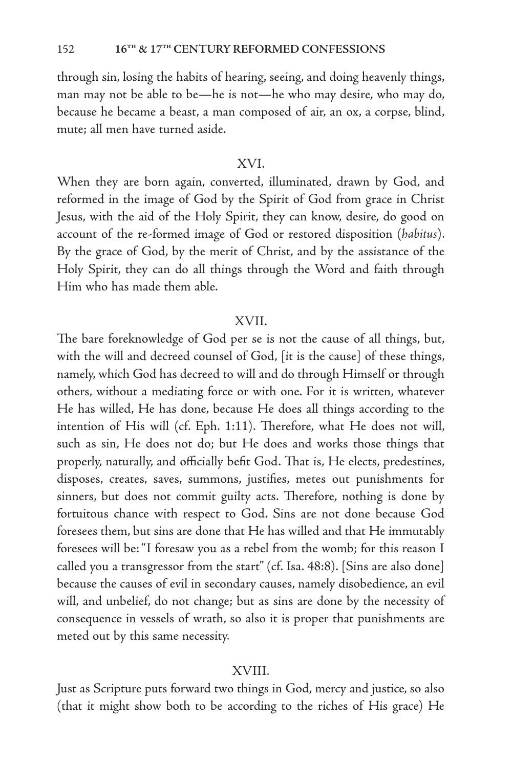through sin, losing the habits of hearing, seeing, and doing heavenly things, man may not be able to be—he is not—he who may desire, who may do, because he became a beast, a man composed of air, an ox, a corpse, blind, mute; all men have turned aside.

## XVI.

When they are born again, converted, illuminated, drawn by God, and reformed in the image of God by the Spirit of God from grace in Christ Jesus, with the aid of the Holy Spirit, they can know, desire, do good on account of the re-formed image of God or restored disposition (*habitus*). By the grace of God, by the merit of Christ, and by the assistance of the Holy Spirit, they can do all things through the Word and faith through Him who has made them able.

#### XVII.

The bare foreknowledge of God per se is not the cause of all things, but, with the will and decreed counsel of God, [it is the cause] of these things, namely, which God has decreed to will and do through Himself or through others, without a mediating force or with one. For it is written, whatever He has willed, He has done, because He does all things according to the intention of His will (cf. Eph. 1:11). Therefore, what He does not will, such as sin, He does not do; but He does and works those things that properly, naturally, and officially befit God. That is, He elects, predestines, disposes, creates, saves, summons, justifies, metes out punishments for sinners, but does not commit guilty acts. Therefore, nothing is done by fortuitous chance with respect to God. Sins are not done because God foresees them, but sins are done that He has willed and that He immutably foresees will be: "I foresaw you as a rebel from the womb; for this reason I called you a transgressor from the start" (cf. Isa. 48:8). [Sins are also done] because the causes of evil in secondary causes, namely disobedience, an evil will, and unbelief, do not change; but as sins are done by the necessity of consequence in vessels of wrath, so also it is proper that punishments are meted out by this same necessity.

#### XVIII.

Just as Scripture puts forward two things in God, mercy and justice, so also (that it might show both to be according to the riches of His grace) He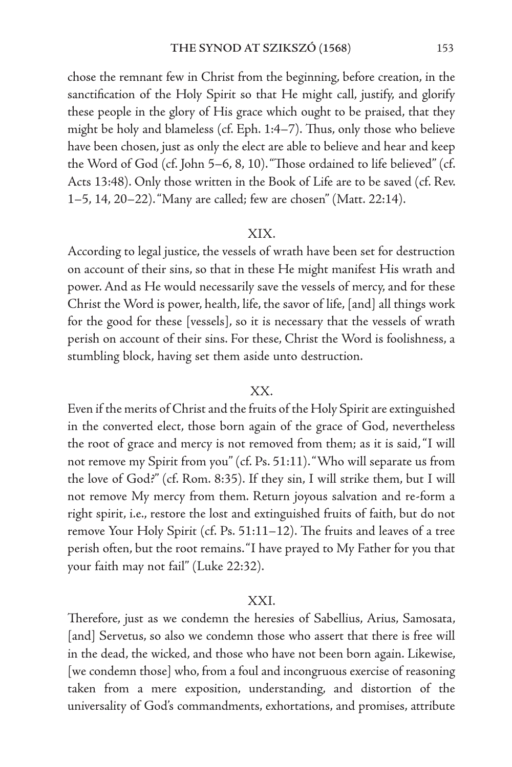chose the remnant few in Christ from the beginning, before creation, in the sanctification of the Holy Spirit so that He might call, justify, and glorify these people in the glory of His grace which ought to be praised, that they might be holy and blameless (cf. Eph. 1:4–7). Thus, only those who believe have been chosen, just as only the elect are able to believe and hear and keep the Word of God (cf. John 5–6, 8, 10). "Those ordained to life believed" (cf. Acts 13:48). Only those written in the Book of Life are to be saved (cf. Rev. 1–5, 14, 20–22). "Many are called; few are chosen" (Matt. 22:14).

## XIX.

According to legal justice, the vessels of wrath have been set for destruction on account of their sins, so that in these He might manifest His wrath and power. And as He would necessarily save the vessels of mercy, and for these Christ the Word is power, health, life, the savor of life, [and] all things work for the good for these [vessels], so it is necessary that the vessels of wrath perish on account of their sins. For these, Christ the Word is foolishness, a stumbling block, having set them aside unto destruction.

## XX.

Even if the merits of Christ and the fruits of the Holy Spirit are extinguished in the converted elect, those born again of the grace of God, nevertheless the root of grace and mercy is not removed from them; as it is said, "I will not remove my Spirit from you" (cf. Ps. 51:11). "Who will separate us from the love of God?" (cf. Rom. 8:35). If they sin, I will strike them, but I will not remove My mercy from them. Return joyous salvation and re-form a right spirit, i.e., restore the lost and extinguished fruits of faith, but do not remove Your Holy Spirit (cf. Ps. 51:11–12). The fruits and leaves of a tree perish often, but the root remains. "I have prayed to My Father for you that your faith may not fail" (Luke 22:32).

## XXI.

Therefore, just as we condemn the heresies of Sabellius, Arius, Samosata, [and] Servetus, so also we condemn those who assert that there is free will in the dead, the wicked, and those who have not been born again. Likewise, [we condemn those] who, from a foul and incongruous exercise of reasoning taken from a mere exposition, understanding, and distortion of the universality of God's commandments, exhortations, and promises, attribute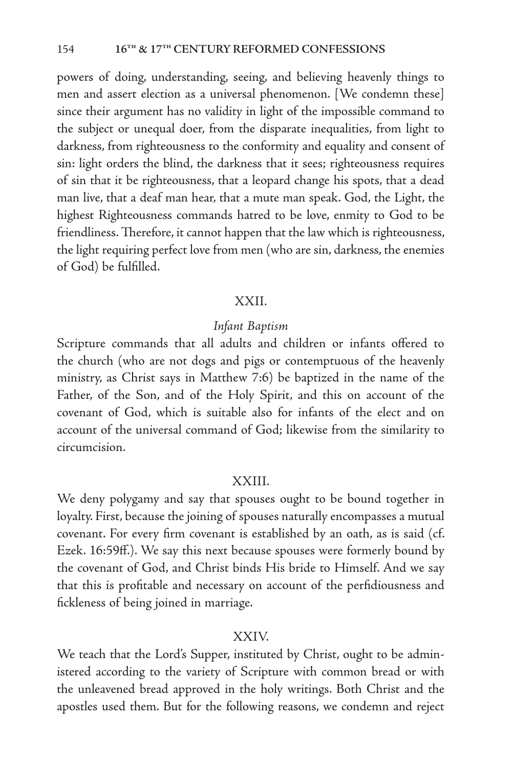powers of doing, understanding, seeing, and believing heavenly things to men and assert election as a universal phenomenon. [We condemn these] since their argument has no validity in light of the impossible command to the subject or unequal doer, from the disparate inequalities, from light to darkness, from righteousness to the conformity and equality and consent of sin: light orders the blind, the darkness that it sees; righteousness requires of sin that it be righteousness, that a leopard change his spots, that a dead man live, that a deaf man hear, that a mute man speak. God, the Light, the highest Righteousness commands hatred to be love, enmity to God to be friendliness. Therefore, it cannot happen that the law which is righteousness, the light requiring perfect love from men (who are sin, darkness, the enemies of God) be fulfilled.

### XXII.

## *Infant Baptism*

Scripture commands that all adults and children or infants offered to the church (who are not dogs and pigs or contemptuous of the heavenly ministry, as Christ says in Matthew 7:6) be baptized in the name of the Father, of the Son, and of the Holy Spirit, and this on account of the covenant of God, which is suitable also for infants of the elect and on account of the universal command of God; likewise from the similarity to circumcision.

#### XXIII.

We deny polygamy and say that spouses ought to be bound together in loyalty. First, because the joining of spouses naturally encompasses a mutual covenant. For every firm covenant is established by an oath, as is said (cf. Ezek. 16:59ff.). We say this next because spouses were formerly bound by the covenant of God, and Christ binds His bride to Himself. And we say that this is profitable and necessary on account of the perfidiousness and fickleness of being joined in marriage.

#### XXIV.

We teach that the Lord's Supper, instituted by Christ, ought to be administered according to the variety of Scripture with common bread or with the unleavened bread approved in the holy writings. Both Christ and the apostles used them. But for the following reasons, we condemn and reject